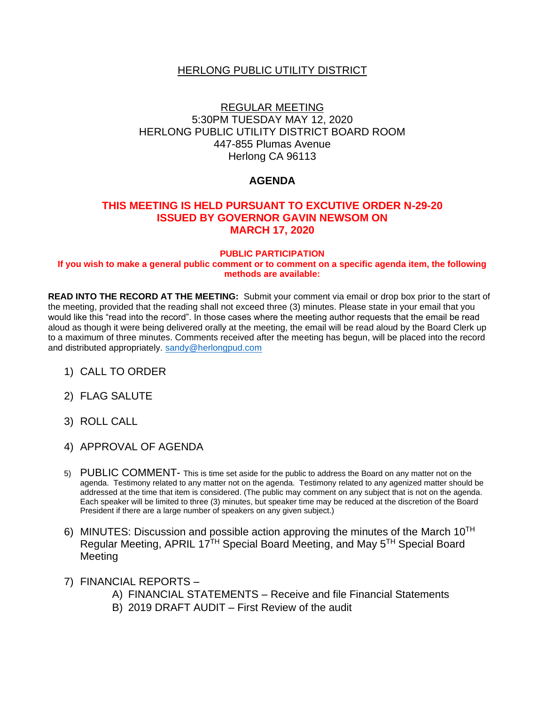# HERLONG PUBLIC UTILITY DISTRICT

# REGULAR MEETING 5:30PM TUESDAY MAY 12, 2020 HERLONG PUBLIC UTILITY DISTRICT BOARD ROOM 447-855 Plumas Avenue Herlong CA 96113

# **AGENDA**

### **THIS MEETING IS HELD PURSUANT TO EXCUTIVE ORDER N-29-20 ISSUED BY GOVERNOR GAVIN NEWSOM ON MARCH 17, 2020**

#### **PUBLIC PARTICIPATION**

#### **If you wish to make a general public comment or to comment on a specific agenda item, the following methods are available:**

**READ INTO THE RECORD AT THE MEETING:** Submit your comment via email or drop box prior to the start of the meeting, provided that the reading shall not exceed three (3) minutes. Please state in your email that you would like this "read into the record". In those cases where the meeting author requests that the email be read aloud as though it were being delivered orally at the meeting, the email will be read aloud by the Board Clerk up to a maximum of three minutes. Comments received after the meeting has begun, will be placed into the record and distributed appropriately. [sandy@herlongpud.com](mailto:sandy@herlongpud.com)

- 1) CALL TO ORDER
- 2) FLAG SALUTE
- 3) ROLL CALL
- 4) APPROVAL OF AGENDA
- 5) PUBLIC COMMENT- This is time set aside for the public to address the Board on any matter not on the agenda. Testimony related to any matter not on the agenda. Testimony related to any agenized matter should be addressed at the time that item is considered. (The public may comment on any subject that is not on the agenda. Each speaker will be limited to three (3) minutes, but speaker time may be reduced at the discretion of the Board President if there are a large number of speakers on any given subject.)
- 6) MINUTES: Discussion and possible action approving the minutes of the March  $10^{TH}$ Regular Meeting, APRIL 17<sup>TH</sup> Special Board Meeting, and May 5<sup>TH</sup> Special Board Meeting
- 7) FINANCIAL REPORTS
	- A) FINANCIAL STATEMENTS Receive and file Financial Statements
	- B) 2019 DRAFT AUDIT First Review of the audit